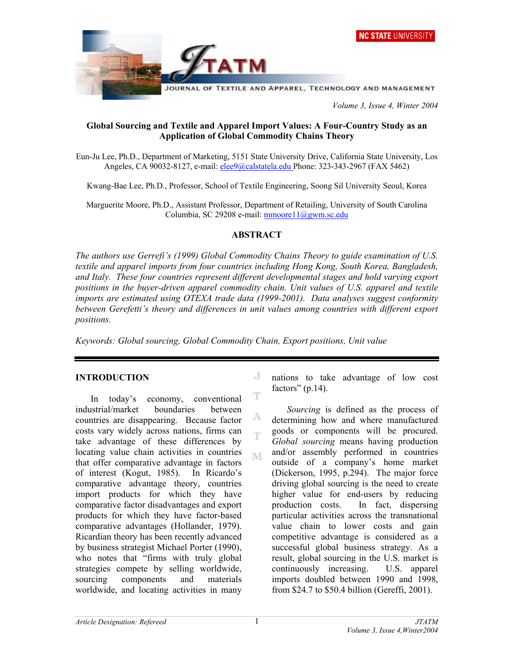

 *Volume 3, Issue 4, Winter 2004* 

### **Global Sourcing and Textile and Apparel Import Values: A Four-Country Study as an Application of Global Commodity Chains Theory**

Eun-Ju Lee, Ph.D., Department of Marketing, 5151 State University Drive, California State University, Los Angeles, CA 90032-8127, e-mail: elee9@calstatela.edu Phone: 323-343-2967 (FAX 5462)

Kwang-Bae Lee, Ph.D., Professor, School of Textile Engineering, Soong Sil University Seoul, Korea

Marguerite Moore, Ph.D., Assistant Professor, Department of Retailing, University of South Carolina Columbia, SC 29208 e-mail: mmoore11@gwm.sc.edu

#### **ABSTRACT**

*The authors use Gerrefi's (1999) Global Commodity Chains Theory to guide examination of U.S. textile and apparel imports from four countries including Hong Kong, South Korea, Bangladesh, and Italy. These four countries represent different developmental stages and hold varying export positions in the buyer-driven apparel commodity chain. Unit values of U.S. apparel and textile imports are estimated using OTEXA trade data (1999-2001). Data analyses suggest conformity*  between Gerefetti's theory and differences in unit values among countries with different export *positions.* 

T

A.

Ŧ

M

*Keywords: Global sourcing, Global Commodity Chain, Export positions, Unit value* 

#### **INTRODUCTION**

In today's economy, conventional industrial/market boundaries between countries are disappearing. Because factor costs vary widely across nations, firms can take advantage of these differences by locating value chain activities in countries that offer comparative advantage in factors of interest (Kogut, 1985). In Ricardo's comparative advantage theory, countries import products for which they have comparative factor disadvantages and export products for which they have factor-based comparative advantages (Hollander, 1979). Ricardian theory has been recently advanced by business strategist Michael Porter (1990), who notes that "firms with truly global strategies compete by selling worldwide, sourcing components and materials worldwide, and locating activities in many

J nations to take advantage of low cost factors"  $(p.14)$ .

*Sourcing* is defined as the process of determining how and where manufactured goods or components will be procured. *Global sourcing* means having production and/or assembly performed in countries outside of a company's home market (Dickerson, 1995, p.294). The major force driving global sourcing is the need to create higher value for end-users by reducing production costs. In fact, dispersing particular activities across the transnational value chain to lower costs and gain competitive advantage is considered as a successful global business strategy. As a result, global sourcing in the U.S. market is continuously increasing. U.S. apparel imports doubled between 1990 and 1998, from \$24.7 to \$50.4 billion (Gereffi, 2001).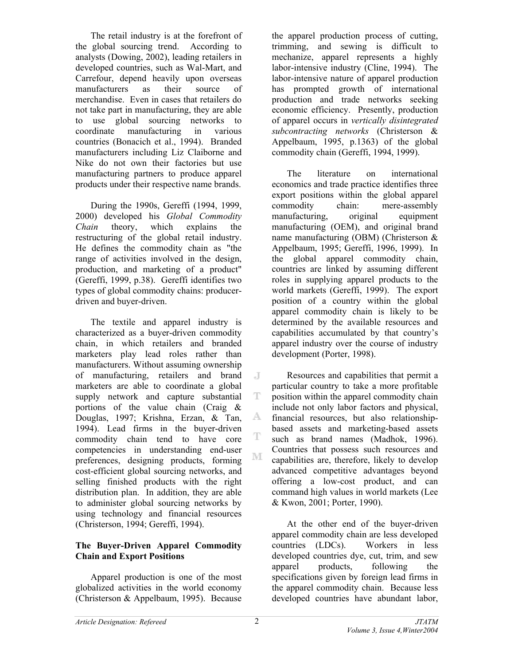The retail industry is at the forefront of the global sourcing trend. According to analysts (Dowing, 2002), leading retailers in developed countries, such as Wal-Mart, and Carrefour, depend heavily upon overseas manufacturers as their source of merchandise. Even in cases that retailers do not take part in manufacturing, they are able to use global sourcing networks to coordinate manufacturing in various countries (Bonacich et al., 1994). Branded manufacturers including Liz Claiborne and Nike do not own their factories but use manufacturing partners to produce apparel products under their respective name brands.

During the 1990s, Gereffi (1994, 1999, 2000) developed his *Global Commodity Chain* theory, which explains the restructuring of the global retail industry. He defines the commodity chain as "the range of activities involved in the design, production, and marketing of a product" (Gereffi, 1999, p.38). Gereffi identifies two types of global commodity chains: producerdriven and buyer-driven.

The textile and apparel industry is characterized as a buyer-driven commodity chain, in which retailers and branded marketers play lead roles rather than manufacturers. Without assuming ownership of manufacturing, retailers and brand marketers are able to coordinate a global supply network and capture substantial portions of the value chain (Craig & Douglas, 1997; Krishna, Erzan, & Tan, 1994). Lead firms in the buyer-driven commodity chain tend to have core competencies in understanding end-user  $\mathbb{M}$ preferences, designing products, forming cost-efficient global sourcing networks, and selling finished products with the right distribution plan. In addition, they are able to administer global sourcing networks by using technology and financial resources (Christerson, 1994; Gereffi, 1994).

### **The Buyer-Driven Apparel Commodity Chain and Export Positions**

Apparel production is one of the most globalized activities in the world economy (Christerson & Appelbaum, 1995). Because

the apparel production process of cutting, trimming, and sewing is difficult to mechanize, apparel represents a highly labor-intensive industry (Cline, 1994). The labor-intensive nature of apparel production has prompted growth of international production and trade networks seeking economic efficiency. Presently, production of apparel occurs in *vertically disintegrated subcontracting networks* (Christerson & Appelbaum, 1995, p.1363) of the global commodity chain (Gereffi, 1994, 1999).

The literature on international economics and trade practice identifies three export positions within the global apparel commodity chain: mere-assembly manufacturing, original equipment manufacturing (OEM), and original brand name manufacturing (OBM) (Christerson & Appelbaum, 1995; Gereffi, 1996, 1999). In the global apparel commodity chain, countries are linked by assuming different roles in supplying apparel products to the world markets (Gereffi, 1999). The export position of a country within the global apparel commodity chain is likely to be determined by the available resources and capabilities accumulated by that country's apparel industry over the course of industry development (Porter, 1998).

Resources and capabilities that permit a particular country to take a more profitable position within the apparel commodity chain include not only labor factors and physical, financial resources, but also relationshipbased assets and marketing-based assets such as brand names (Madhok, 1996). Countries that possess such resources and capabilities are, therefore, likely to develop advanced competitive advantages beyond offering a low-cost product, and can command high values in world markets (Lee & Kwon, 2001; Porter, 1990).

At the other end of the buyer-driven apparel commodity chain are less developed countries (LDCs). Workers in less developed countries dye, cut, trim, and sew apparel products, following the specifications given by foreign lead firms in the apparel commodity chain. Because less developed countries have abundant labor,

 $\mathbb{J}$ 

T

A.

T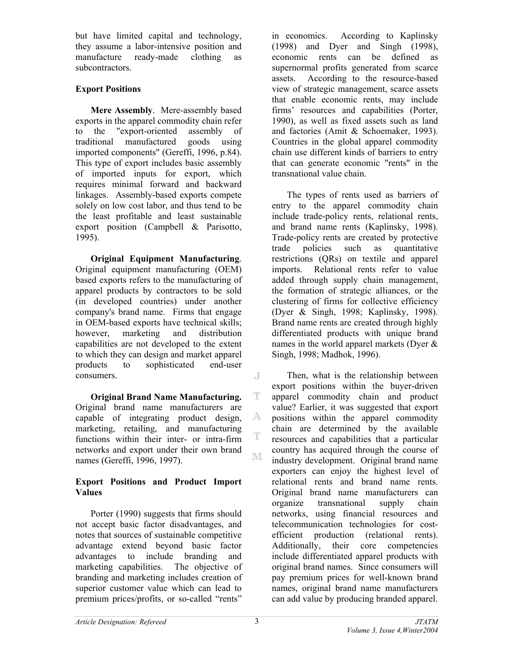but have limited capital and technology, they assume a labor-intensive position and manufacture ready-made clothing as subcontractors.

# **Export Positions**

**Mere Assembly**. Mere-assembly based exports in the apparel commodity chain refer to the "export-oriented assembly of traditional manufactured goods using imported components" (Gereffi, 1996, p.84). This type of export includes basic assembly of imported inputs for export, which requires minimal forward and backward linkages. Assembly-based exports compete solely on low cost labor, and thus tend to be the least profitable and least sustainable export position (Campbell & Parisotto, 1995).

**Original Equipment Manufacturing**. Original equipment manufacturing (OEM) based exports refers to the manufacturing of apparel products by contractors to be sold (in developed countries) under another company's brand name. Firms that engage in OEM-based exports have technical skills; however, marketing and distribution capabilities are not developed to the extent to which they can design and market apparel products to sophisticated end-user consumers.

**Original Brand Name Manufacturing.** Original brand name manufacturers are capable of integrating product design, marketing, retailing, and manufacturing functions within their inter- or intra-firm networks and export under their own brand names (Gereffi, 1996, 1997).

### **Export Positions and Product Import Values**

Porter (1990) suggests that firms should not accept basic factor disadvantages, and notes that sources of sustainable competitive advantage extend beyond basic factor advantages to include branding and marketing capabilities. The objective of branding and marketing includes creation of superior customer value which can lead to premium prices/profits, or so-called "rents"

in economics. According to Kaplinsky (1998) and Dyer and Singh (1998), economic rents can be defined as supernormal profits generated from scarce assets. According to the resource-based view of strategic management, scarce assets that enable economic rents, may include firms' resources and capabilities (Porter, 1990), as well as fixed assets such as land and factories (Amit & Schoemaker, 1993). Countries in the global apparel commodity chain use different kinds of barriers to entry that can generate economic "rents" in the transnational value chain.

The types of rents used as barriers of entry to the apparel commodity chain include trade-policy rents, relational rents, and brand name rents (Kaplinsky, 1998). Trade-policy rents are created by protective trade policies such as quantitative restrictions (QRs) on textile and apparel imports. Relational rents refer to value added through supply chain management, the formation of strategic alliances, or the clustering of firms for collective efficiency (Dyer & Singh, 1998; Kaplinsky, 1998). Brand name rents are created through highly differentiated products with unique brand names in the world apparel markets (Dyer & Singh, 1998; Madhok, 1996).

Then, what is the relationship between export positions within the buyer-driven apparel commodity chain and product value? Earlier, it was suggested that export positions within the apparel commodity chain are determined by the available resources and capabilities that a particular country has acquired through the course of industry development. Original brand name exporters can enjoy the highest level of relational rents and brand name rents. Original brand name manufacturers can organize transnational supply chain networks, using financial resources and telecommunication technologies for costefficient production (relational rents). Additionally, their core competencies include differentiated apparel products with original brand names. Since consumers will pay premium prices for well-known brand names, original brand name manufacturers can add value by producing branded apparel.

J

T

A

Ŧ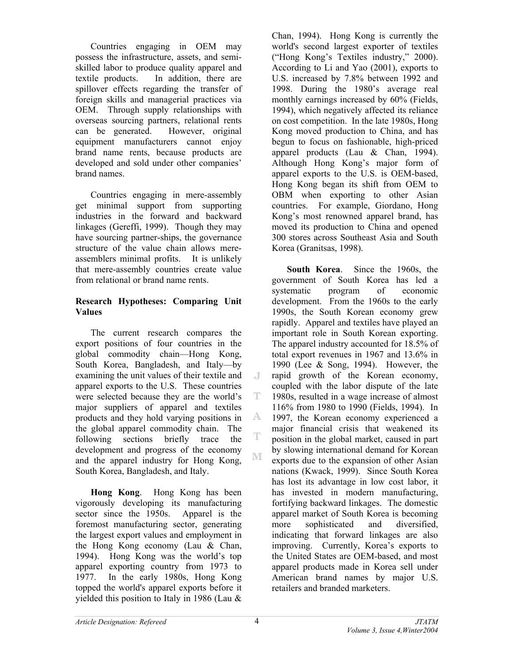Countries engaging in OEM may possess the infrastructure, assets, and semiskilled labor to produce quality apparel and textile products. In addition, there are spillover effects regarding the transfer of foreign skills and managerial practices via OEM. Through supply relationships with overseas sourcing partners, relational rents can be generated. However, original equipment manufacturers cannot enjoy brand name rents, because products are developed and sold under other companies' brand names.

Countries engaging in mere-assembly get minimal support from supporting industries in the forward and backward linkages (Gereffi, 1999). Though they may have sourcing partner-ships, the governance structure of the value chain allows mereassemblers minimal profits. It is unlikely that mere-assembly countries create value from relational or brand name rents.

### **Research Hypotheses: Comparing Unit Values**

The current research compares the export positions of four countries in the global commodity chain—Hong Kong, South Korea, Bangladesh, and Italy—by examining the unit values of their textile and apparel exports to the U.S. These countries were selected because they are the world's major suppliers of apparel and textiles products and they hold varying positions in the global apparel commodity chain. The following sections briefly trace the development and progress of the economy and the apparel industry for Hong Kong, South Korea, Bangladesh, and Italy.

**Hong Kong**. Hong Kong has been vigorously developing its manufacturing sector since the 1950s. Apparel is the foremost manufacturing sector, generating the largest export values and employment in the Hong Kong economy (Lau & Chan, 1994). Hong Kong was the world's top apparel exporting country from 1973 to 1977. In the early 1980s, Hong Kong topped the world's apparel exports before it yielded this position to Italy in 1986 (Lau &

Chan, 1994). Hong Kong is currently the world's second largest exporter of textiles ("Hong Kong's Textiles industry," 2000). According to Li and Yao (2001), exports to U.S. increased by 7.8% between 1992 and 1998. During the 1980's average real monthly earnings increased by 60% (Fields, 1994), which negatively affected its reliance on cost competition. In the late 1980s, Hong Kong moved production to China, and has begun to focus on fashionable, high-priced apparel products (Lau & Chan, 1994). Although Hong Kong's major form of apparel exports to the U.S. is OEM-based, Hong Kong began its shift from OEM to OBM when exporting to other Asian countries. For example, Giordano, Hong Kong's most renowned apparel brand, has moved its production to China and opened 300 stores across Southeast Asia and South Korea (Granitsas, 1998).

**South Korea**. Since the 1960s, the government of South Korea has led a systematic program of economic development. From the 1960s to the early 1990s, the South Korean economy grew rapidly. Apparel and textiles have played an important role in South Korean exporting. The apparel industry accounted for 18.5% of total export revenues in 1967 and 13.6% in 1990 (Lee & Song, 1994). However, the rapid growth of the Korean economy, coupled with the labor dispute of the late 1980s, resulted in a wage increase of almost 116% from 1980 to 1990 (Fields, 1994). In 1997, the Korean economy experienced a major financial crisis that weakened its position in the global market, caused in part by slowing international demand for Korean exports due to the expansion of other Asian nations (Kwack, 1999). Since South Korea has lost its advantage in low cost labor, it has invested in modern manufacturing, fortifying backward linkages. The domestic apparel market of South Korea is becoming more sophisticated and diversified, indicating that forward linkages are also improving. Currently, Korea's exports to the United States are OEM-based, and most apparel products made in Korea sell under American brand names by major U.S. retailers and branded marketers.

 $\overline{d}$ 

T.

A.

T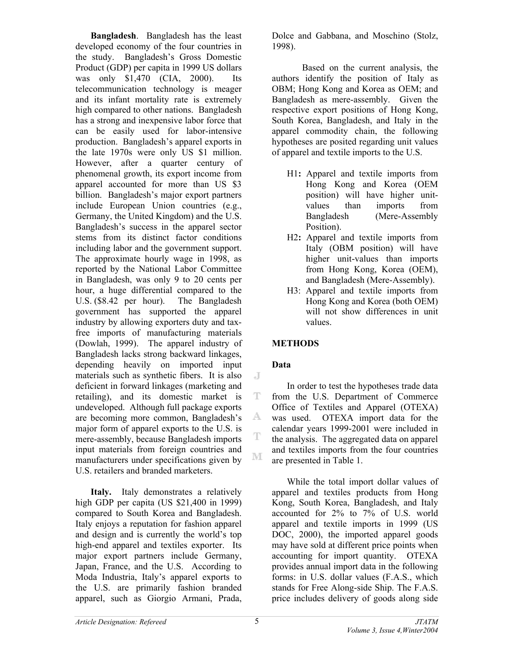**Bangladesh**. Bangladesh has the least developed economy of the four countries in the study. Bangladesh's Gross Domestic Product (GDP) per capita in 1999 US dollars was only \$1,470 (CIA, 2000). Its telecommunication technology is meager and its infant mortality rate is extremely high compared to other nations. Bangladesh has a strong and inexpensive labor force that can be easily used for labor-intensive production. Bangladesh's apparel exports in the late 1970s were only US \$1 million. However, after a quarter century of phenomenal growth, its export income from apparel accounted for more than US \$3 billion. Bangladesh's major export partners include European Union countries (e.g., Germany, the United Kingdom) and the U.S. Bangladesh's success in the apparel sector stems from its distinct factor conditions including labor and the government support. The approximate hourly wage in 1998, as reported by the National Labor Committee in Bangladesh, was only 9 to 20 cents per hour, a huge differential compared to the U.S. (\$8.42 per hour). The Bangladesh government has supported the apparel industry by allowing exporters duty and taxfree imports of manufacturing materials (Dowlah, 1999). The apparel industry of Bangladesh lacks strong backward linkages, depending heavily on imported input materials such as synthetic fibers. It is also deficient in forward linkages (marketing and retailing), and its domestic market is undeveloped. Although full package exports are becoming more common, Bangladesh's major form of apparel exports to the U.S. is mere-assembly, because Bangladesh imports input materials from foreign countries and manufacturers under specifications given by U.S. retailers and branded marketers.

**Italy.** Italy demonstrates a relatively high GDP per capita (US \$21,400 in 1999) compared to South Korea and Bangladesh. Italy enjoys a reputation for fashion apparel and design and is currently the world's top high-end apparel and textiles exporter. Its major export partners include Germany, Japan, France, and the U.S. According to Moda Industria, Italy's apparel exports to the U.S. are primarily fashion branded apparel, such as Giorgio Armani, Prada,

Dolce and Gabbana, and Moschino (Stolz, 1998).

Based on the current analysis, the authors identify the position of Italy as OBM; Hong Kong and Korea as OEM; and Bangladesh as mere-assembly. Given the respective export positions of Hong Kong, South Korea, Bangladesh, and Italy in the apparel commodity chain, the following hypotheses are posited regarding unit values of apparel and textile imports to the U.S.

- H1**:** Apparel and textile imports from Hong Kong and Korea (OEM position) will have higher unitvalues than imports from Bangladesh (Mere-Assembly Position).
- H2**:** Apparel and textile imports from Italy (OBM position) will have higher unit-values than imports from Hong Kong, Korea (OEM), and Bangladesh (Mere-Assembly).
- H3: Apparel and textile imports from Hong Kong and Korea (both OEM) will not show differences in unit values.

## **METHODS**

## **Data**

 $\mathbb{J}$ 

T

A.

T

M

In order to test the hypotheses trade data from the U.S. Department of Commerce Office of Textiles and Apparel (OTEXA) was used. OTEXA import data for the calendar years 1999-2001 were included in the analysis. The aggregated data on apparel and textiles imports from the four countries are presented in Table 1.

While the total import dollar values of apparel and textiles products from Hong Kong, South Korea, Bangladesh, and Italy accounted for 2% to 7% of U.S. world apparel and textile imports in 1999 (US DOC, 2000), the imported apparel goods may have sold at different price points when accounting for import quantity. OTEXA provides annual import data in the following forms: in U.S. dollar values (F.A.S., which stands for Free Along-side Ship. The F.A.S. price includes delivery of goods along side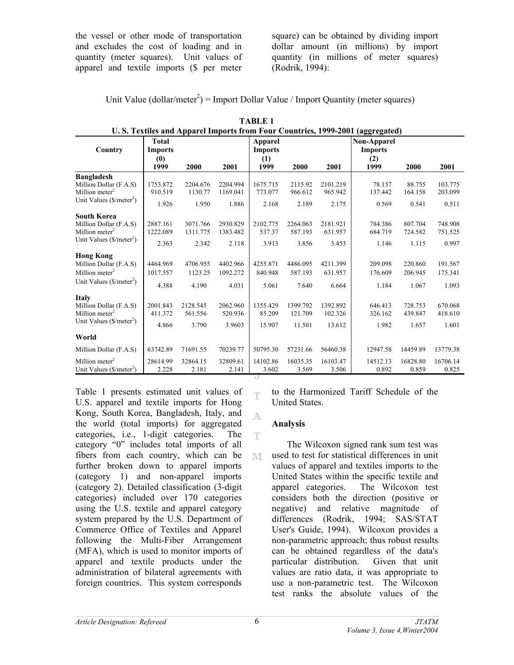the vessel or other mode of transportation and excludes the cost of loading and in quantity (meter squares). Unit values of apparel and textile imports (\$ per meter square) can be obtained by dividing import dollar amount (in millions) by import quantity (in millions of meter squares) (Rodrik, 1994):

| Unit Value (dollar/meter <sup>2</sup> ) = Import Dollar Value / Import Quantity (meter squares) |
|-------------------------------------------------------------------------------------------------|
|-------------------------------------------------------------------------------------------------|

| U.S. Textiles and Apparel Imports from Four Countries, 1999-2001 (aggregated)                                                   |                                               |                               |                               |                                          |                               |                               |                                              |                             |                             |
|---------------------------------------------------------------------------------------------------------------------------------|-----------------------------------------------|-------------------------------|-------------------------------|------------------------------------------|-------------------------------|-------------------------------|----------------------------------------------|-----------------------------|-----------------------------|
| Country                                                                                                                         | <b>Total</b><br><b>Imports</b><br>(0)<br>1999 | 2000                          | 2001                          | Apparel<br><b>Imports</b><br>(1)<br>1999 | 2000                          | 2001                          | Non-Apparel<br><b>Imports</b><br>(2)<br>1999 | 2000                        | 2001                        |
| <b>Bangladesh</b><br>Million Dollar (F.A.S)<br>Million meter <sup>2</sup><br>Unit Values $(\text{S/meter}^2)$                   | 1753.872<br>910.519<br>1.926                  | 2204.676<br>1130.77<br>1.950  | 2204.994<br>1169.041<br>1.886 | 1675.715<br>773.077<br>2.168             | 2115.92<br>966.612<br>2.189   | 2101.219<br>965.942<br>2.175  | 78.157<br>137.442<br>0.569                   | 88.755<br>164.158<br>0.541  | 103.775<br>203.099<br>0.511 |
| <b>South Korea</b><br>Million Dollar (F.A.S)<br>Million meter <sup>2</sup><br>Unit Values $(\frac{C}{m} \cdot \text{center}^2)$ | 2887.161<br>1222.089<br>2.363                 | 3071.766<br>1311.775<br>2.342 | 2930.829<br>1383.482<br>2.118 | 2102.775<br>537.37<br>3.913              | 2264.063<br>587.193<br>3.856  | 2181.921<br>631.957<br>3.453  | 784.386<br>684.719<br>1.146                  | 807.704<br>724.582<br>1.115 | 748.908<br>751.525<br>0.997 |
| <b>Hong Kong</b><br>Million Dollar (F.A.S)<br>Million meter <sup>2</sup><br>Unit Values $(\frac{C}{2})$                         | 4464.969<br>1017.557<br>4.388                 | 4706.955<br>1123.25<br>4.190  | 4402.966<br>1092.272<br>4.031 | 4255.871<br>840.948<br>5.061             | 4486.095<br>587.193<br>7.640  | 4211.399<br>631.957<br>6.664  | 209.098<br>176.609<br>1.184                  | 220.860<br>206.945<br>1.067 | 191.567<br>175.341<br>1.093 |
| <b>Italy</b><br>Million Dollar (F.A.S)<br>Million meter <sup>2</sup><br>Unit Values $(\frac{C}{m} \cdot \text{center}^2)$       | 2001.843<br>411.372<br>4.866                  | 2128.545<br>561.556<br>3.790  | 2062.960<br>520.936<br>3.9603 | 1355.429<br>85.209<br>15.907             | 1399.792<br>121.709<br>11.501 | 1392.892<br>102.326<br>13.612 | 646.413<br>326.162<br>1.982                  | 728.753<br>439.847<br>1.657 | 670.068<br>418.610<br>1.601 |
| World                                                                                                                           |                                               |                               |                               |                                          |                               |                               |                                              |                             |                             |
| Million Dollar (F.A.S)                                                                                                          | 63742.89                                      | 71691.55                      | 70239.77                      | 50795.30                                 | 57231.66                      | 56460.38                      | 12947.58                                     | 14459.89                    | 13779.38                    |
| Million meter <sup>2</sup><br>Unit Values (\$/meter <sup>2</sup> )                                                              | 28614.99<br>2.228                             | 32864.15<br>2.181             | 32809.61<br>2.141             | 14102.86<br>3.602<br>e Ji                | 16035.35<br>3.569             | 16103.47<br>3.506             | 14512.13<br>0.892                            | 16828.80<br>0.859           | 16706.14<br>0.825           |

| TABLE 1                                                                       |  |
|-------------------------------------------------------------------------------|--|
| U.S. Textiles and Apparel Imports from Four Countries, 1999-2001 (aggregated) |  |

Table 1 presents estimated unit values of U.S. apparel and textile imports for Hong Kong, South Korea, Bangladesh, Italy, and the world (total imports) for aggregated categories, i.e., 1-digit categories. The category "0" includes total imports of all fibers from each country, which can be further broken down to apparel imports (category 1) and non-apparel imports (category 2). Detailed classification (3-digit categories) included over 170 categories using the U.S. textile and apparel category system prepared by the U.S. Department of Commerce Office of Textiles and Apparel following the Multi-Fiber Arrangement (MFA), which is used to monitor imports of apparel and textile products under the administration of bilateral agreements with foreign countries. This system corresponds

to the Harmonized Tariff Schedule of the United States.

### **Analysis**

ηy

A.

平

M

The Wilcoxon signed rank sum test was used to test for statistical differences in unit values of apparel and textiles imports to the United States within the specific textile and apparel categories. The Wilcoxon test considers both the direction (positive or negative) and relative magnitude of differences (Rodrik, 1994; SAS/STAT User's Guide, 1994). Wilcoxon provides a non-parametric approach; thus robust results can be obtained regardless of the data's particular distribution. Given that unit values are ratio data, it was appropriate to use a non-parametric test. The Wilcoxon test ranks the absolute values of the

6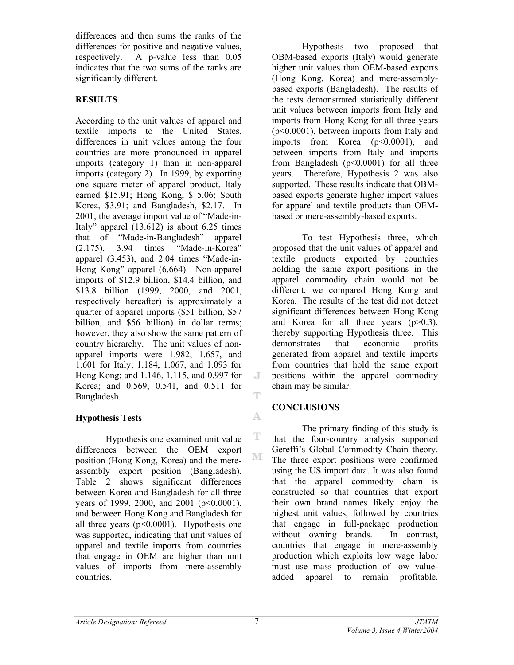differences and then sums the ranks of the differences for positive and negative values, respectively. A p-value less than 0.05 indicates that the two sums of the ranks are significantly different.

## **RESULTS**

According to the unit values of apparel and textile imports to the United States, differences in unit values among the four countries are more pronounced in apparel imports (category 1) than in non-apparel imports (category 2). In 1999, by exporting one square meter of apparel product, Italy earned \$15.91; Hong Kong, \$ 5.06; South Korea, \$3.91; and Bangladesh, \$2.17. In 2001, the average import value of "Made-in-Italy" apparel (13.612) is about 6.25 times that of "Made-in-Bangladesh" apparel (2.175), 3.94 times "Made-in-Korea" apparel (3.453), and 2.04 times "Made-in-Hong Kong" apparel (6.664). Non-apparel imports of \$12.9 billion, \$14.4 billion, and \$13.8 billion (1999, 2000, and 2001, respectively hereafter) is approximately a quarter of apparel imports (\$51 billion, \$57 billion, and \$56 billion) in dollar terms; however, they also show the same pattern of country hierarchy. The unit values of nonapparel imports were 1.982, 1.657, and 1.601 for Italy; 1.184, 1.067, and 1.093 for Hong Kong; and 1.146, 1.115, and 0.997 for Korea; and 0.569, 0.541, and 0.511 for Bangladesh.

## **Hypothesis Tests**

Hypothesis one examined unit value differences between the OEM export position (Hong Kong, Korea) and the mereassembly export position (Bangladesh). Table 2 shows significant differences between Korea and Bangladesh for all three years of 1999, 2000, and 2001 (p<0.0001), and between Hong Kong and Bangladesh for all three years  $(p<0.0001)$ . Hypothesis one was supported, indicating that unit values of apparel and textile imports from countries that engage in OEM are higher than unit values of imports from mere-assembly countries.

Hypothesis two proposed that OBM-based exports (Italy) would generate higher unit values than OEM-based exports (Hong Kong, Korea) and mere-assemblybased exports (Bangladesh). The results of the tests demonstrated statistically different unit values between imports from Italy and imports from Hong Kong for all three years (p<0.0001), between imports from Italy and imports from Korea (p<0.0001), and between imports from Italy and imports from Bangladesh  $(p<0.0001)$  for all three years. Therefore, Hypothesis 2 was also supported. These results indicate that OBMbased exports generate higher import values for apparel and textile products than OEMbased or mere-assembly-based exports.

To test Hypothesis three, which proposed that the unit values of apparel and textile products exported by countries holding the same export positions in the apparel commodity chain would not be different, we compared Hong Kong and Korea. The results of the test did not detect significant differences between Hong Kong and Korea for all three years  $(p>0.3)$ , thereby supporting Hypothesis three. This demonstrates that economic profits generated from apparel and textile imports from countries that hold the same export positions within the apparel commodity chain may be similar.

## **CONCLUSIONS**

The primary finding of this study is that the four-country analysis supported Gereffi's Global Commodity Chain theory. The three export positions were confirmed using the US import data. It was also found that the apparel commodity chain is constructed so that countries that export their own brand names likely enjoy the highest unit values, followed by countries that engage in full-package production without owning brands. In contrast, countries that engage in mere-assembly production which exploits low wage labor must use mass production of low valueadded apparel to remain profitable.

J

Ŧ

A.

т

 $\mathbb{M}$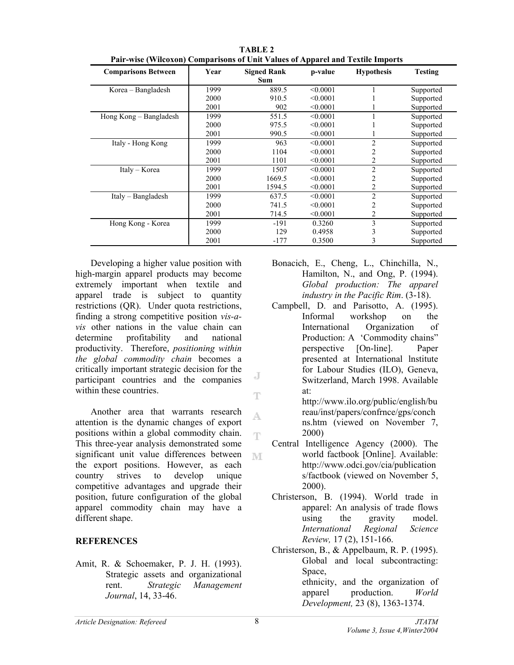| <b>Comparisons Between</b> | Year | <b>Signed Rank</b><br><b>Sum</b> | p-value  | <b>Hypothesis</b> | <b>Testing</b> |
|----------------------------|------|----------------------------------|----------|-------------------|----------------|
| Korea – Bangladesh         | 1999 | 889.5                            | < 0.0001 |                   | Supported      |
|                            | 2000 | 910.5                            | < 0.0001 |                   | Supported      |
|                            | 2001 | 902                              | < 0.0001 |                   | Supported      |
| Hong Kong – Bangladesh     | 1999 | 551.5                            | < 0.0001 | 1<br>Supported    |                |
|                            | 2000 | 975.5                            | < 0.0001 |                   | Supported      |
|                            | 2001 | 990.5                            | < 0.0001 |                   | Supported      |
| Italy - Hong Kong          | 1999 | 963                              | < 0.0001 | $\overline{2}$    | Supported      |
|                            | 2000 | 1104                             | < 0.0001 | $\overline{2}$    | Supported      |
|                            | 2001 | 1101                             | < 0.0001 | $\overline{2}$    | Supported      |
| Italy – Korea              | 1999 | 1507                             | < 0.0001 | $\overline{2}$    | Supported      |
|                            | 2000 | 1669.5                           | < 0.0001 | 2                 | Supported      |
|                            | 2001 | 1594.5                           | < 0.0001 | 2                 | Supported      |
| Italy – Bangladesh         | 1999 | 637.5                            | < 0.0001 | $\overline{2}$    | Supported      |
|                            | 2000 | 741.5                            | < 0.0001 | 2                 | Supported      |
|                            | 2001 | 714.5                            | < 0.0001 | 2                 | Supported      |
| Hong Kong - Korea          | 1999 | -191                             | 0.3260   | 3                 | Supported      |
|                            | 2000 | 129                              | 0.4958   | 3                 | Supported      |
|                            | 2001 | $-177$                           | 0.3500   | 3                 | Supported      |

**TABLE 2 Pair-wise (Wilcoxon) Comparisons of Unit Values of Apparel and Textile Imports** 

Developing a higher value position with high-margin apparel products may become extremely important when textile and apparel trade is subject to quantity restrictions (QR). Under quota restrictions, finding a strong competitive position *vis-avis* other nations in the value chain can determine profitability and national productivity. Therefore, *positioning within the global commodity chain* becomes a critically important strategic decision for the participant countries and the companies within these countries.

Another area that warrants research attention is the dynamic changes of export positions within a global commodity chain. This three-year analysis demonstrated some significant unit value differences between the export positions. However, as each country strives to develop unique competitive advantages and upgrade their position, future configuration of the global apparel commodity chain may have a different shape.

#### **REFERENCES**

Amit, R. & Schoemaker, P. J. H. (1993). Strategic assets and organizational rent. *Strategic Management Journal*, 14, 33-46.

- Bonacich, E., Cheng, L., Chinchilla, N., Hamilton, N., and Ong, P. (1994). *Global production: The apparel industry in the Pacific Rim*. (3-18).
- Campbell, D. and Parisotto, A. (1995). Informal workshop on the International Organization of Production: A 'Commodity chains" perspective [On-line]. Paper presented at International lnstitute for Labour Studies (ILO), Geneva, Switzerland, March 1998. Available at: http://www.ilo.org/public/english/bu

reau/inst/papers/confrnce/gps/conch ns.htm (viewed on November 7, 2000)

- Central Intelligence Agency (2000). The world factbook [Online]. Available: http://www.odci.gov/cia/publication s/factbook (viewed on November 5, 2000).
- Christerson, B. (1994). World trade in apparel: An analysis of trade flows using the gravity model. *International Regional Science Review,* 17 (2), 151-166.
- Christerson, B., & Appelbaum, R. P. (1995). Global and local subcontracting: Space, ethnicity, and the organization of apparel production. *World Development,* 23 (8), 1363-1374.

 $\overline{d}$ 

T

A.

T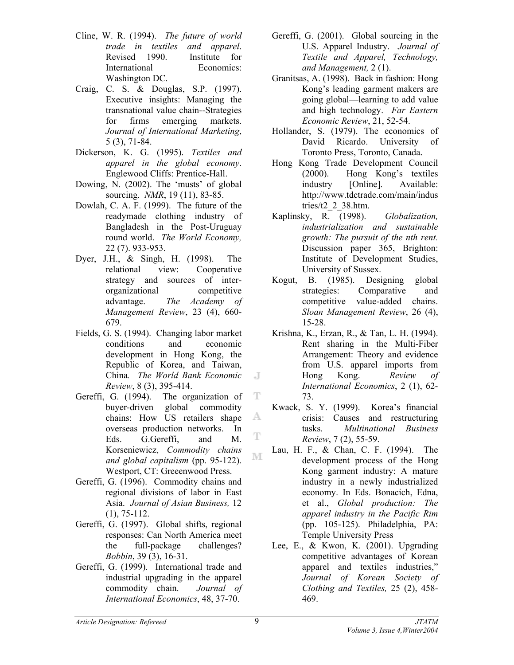- Cline, W. R. (1994). *The future of world trade in textiles and apparel*. Revised 1990. Institute for International Economics: Washington DC.
- Craig, C. S. & Douglas, S.P. (1997). Executive insights: Managing the transnational value chain--Strategies for firms emerging markets. *Journal of International Marketing*, 5 (3), 71-84.
- Dickerson, K. G. (1995). *Textiles and apparel in the global economy*. Englewood Cliffs: Prentice-Hall.
- Dowing, N. (2002). The 'musts' of global sourcing. *NMR*, 19 (11), 83-85.
- Dowlah, C. A. F. (1999). The future of the readymade clothing industry of Bangladesh in the Post-Uruguay round world. *The World Economy,*  22 (7). 933-953.
- Dyer, J.H., & Singh, H. (1998). The relational view: Cooperative strategy and sources of interorganizational competitive advantage. *The Academy of Management Review*, 23 (4), 660- 679.
- Fields, G. S. (1994). Changing labor market conditions and economic development in Hong Kong, the Republic of Korea, and Taiwan, China*. The World Bank Economic Review*, 8 (3), 395-414.
- Gereffi, G. (1994). The organization of buyer-driven global commodity chains: How US retailers shape overseas production networks. In Eds. G.Gereffi, and M. Korseniewicz, *Commodity chains and global capitalism* (pp. 95-122). Westport, CT: Greeenwood Press.
- Gereffi, G. (1996). Commodity chains and regional divisions of labor in East Asia. *Journal of Asian Business,* 12 (1), 75-112.
- Gereffi, G. (1997). Global shifts, regional responses: Can North America meet the full-package challenges? *Bobbin*, 39 (3), 16-31.
- Gereffi, G. (1999). International trade and industrial upgrading in the apparel commodity chain. *Journal of International Economics*, 48, 37-70.
- Gereffi, G. (2001). Global sourcing in the U.S. Apparel Industry. *Journal of Textile and Apparel, Technology, and Management,* 2 (1).
- Granitsas, A. (1998). Back in fashion: Hong Kong's leading garment makers are going global—learning to add value and high technology. *Far Eastern Economic Review*, 21, 52-54.
- Hollander, S. (1979). The economics of David Ricardo. University of Toronto Press, Toronto, Canada.
- Hong Kong Trade Development Council (2000). Hong Kong's textiles industry [Online]. Available: http://www.tdctrade.com/main/indus tries/t2 $2$  38.htm.
- Kaplinsky, R. (1998). *Globalization, industrialization and sustainable growth: The pursuit of the nth rent.* Discussion paper 365, Brighton: Institute of Development Studies, University of Sussex.
- Kogut, B. (1985). Designing global strategies: Comparative and competitive value-added chains. *Sloan Management Review*, 26 (4), 15-28.
- Krishna, K., Erzan, R., & Tan, L. H. (1994). Rent sharing in the Multi-Fiber Arrangement: Theory and evidence from U.S. apparel imports from Hong Kong. *Review of International Economics*, 2 (1), 62- 73.
- Kwack, S. Y. (1999). Korea's financial crisis: Causes and restructuring tasks. *Multinational Business Review*, 7 (2), 55-59.
- Lau, H. F., & Chan, C. F. (1994). The development process of the Hong Kong garment industry: A mature industry in a newly industrialized economy. In Eds. Bonacich, Edna, et al., *Global production: The apparel industry in the Pacific Rim* (pp. 105-125). Philadelphia, PA: Temple University Press
- Lee, E., & Kwon, K. (2001). Upgrading competitive advantages of Korean apparel and textiles industries," *Journal of Korean Society of Clothing and Textiles,* 25 (2), 458- 469.

 $\overline{d}$ 

т

A

T

 $\mathbb{M}$